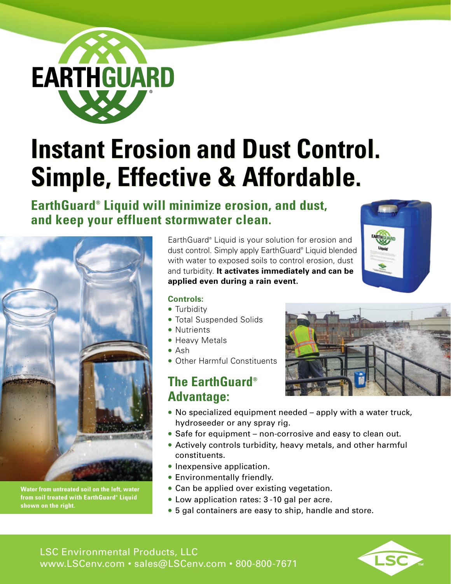

# **Instant Erosion and Dust Control. Instant Erosion and Dust Control. Simple, Effective & Affordable. Simple, Effective & Affordable.**

# **EarthGuard® Liquid will minimize erosion, and dust, and keep your effluent stormwater clean.**



**Water from untreated soil on the left, water from soil treated with EarthGuard® Liquid shown on the right.**

EarthGuard® Liquid is your solution for erosion and dust control. Simply apply EarthGuard® Liquid blended with water to exposed soils to control erosion, dust and turbidity. **It activates immediately and can be applied even during a rain event.** 



#### **Controls:**

- Turbidity
- Total Suspended Solids
- Nutrients
- Heavy Metals
- Ash
- Other Harmful Constituents

## **The EarthGuard® Advantage:**

- No specialized equipment needed apply with a water truck, hydroseeder or any spray rig.
- Safe for equipment non-corrosive and easy to clean out.
- Actively controls turbidity, heavy metals, and other harmful constituents.
- Inexpensive application.
- Environmentally friendly.
- Can be applied over existing vegetation.
- Low application rates: 3 -10 gal per acre.
- 5 gal containers are easy to ship, handle and store.

LSC Environmental Products, LLC www.LSCenv.com • sales@LSCenv.com • 800-800-7671